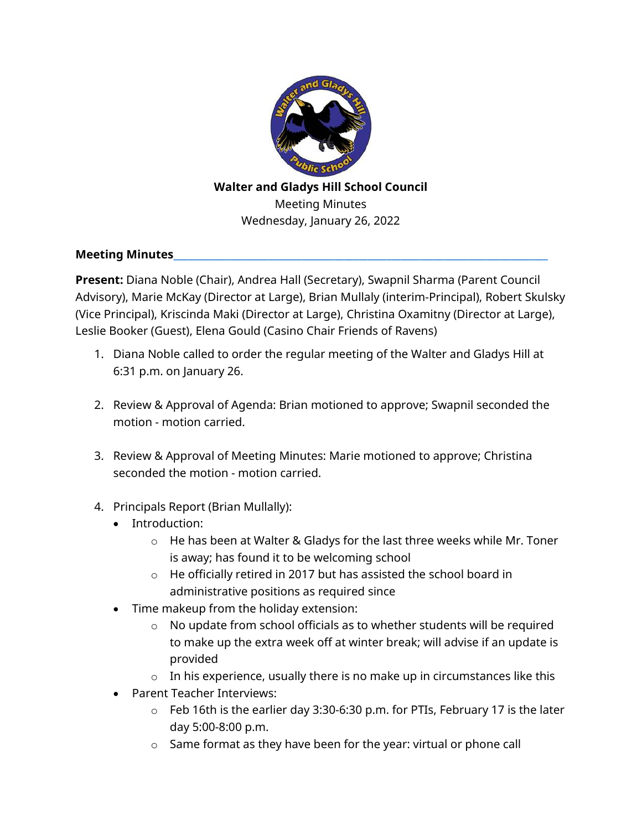

## **Walter and Gladys Hill School Council**  Meeting Minutes Wednesday, January 26, 2022

## **Meeting Minutes**

**Present:** Diana Noble (Chair), Andrea Hall (Secretary), Swapnil Sharma (Parent Council Advisory), Marie McKay (Director at Large), Brian Mullaly (interim-Principal), Robert Skulsky (Vice Principal), Kriscinda Maki (Director at Large), Christina Oxamitny (Director at Large), Leslie Booker (Guest), Elena Gould (Casino Chair Friends of Ravens)

- 1. Diana Noble called to order the regular meeting of the Walter and Gladys Hill at 6:31 p.m. on January 26.
- 2. Review & Approval of Agenda: Brian motioned to approve; Swapnil seconded the motion - motion carried.
- 3. Review & Approval of Meeting Minutes: Marie motioned to approve; Christina seconded the motion - motion carried.
- 4. Principals Report (Brian Mullally):
	- Introduction:
		- o He has been at Walter & Gladys for the last three weeks while Mr. Toner is away; has found it to be welcoming school
		- o He officially retired in 2017 but has assisted the school board in administrative positions as required since
	- Time makeup from the holiday extension:
		- o No update from school officials as to whether students will be required to make up the extra week off at winter break; will advise if an update is provided
		- $\circ$  In his experience, usually there is no make up in circumstances like this
	- Parent Teacher Interviews:
		- $\circ$  Feb 16th is the earlier day 3:30-6:30 p.m. for PTIs, February 17 is the later day 5:00-8:00 p.m.
		- $\circ$  Same format as they have been for the year: virtual or phone call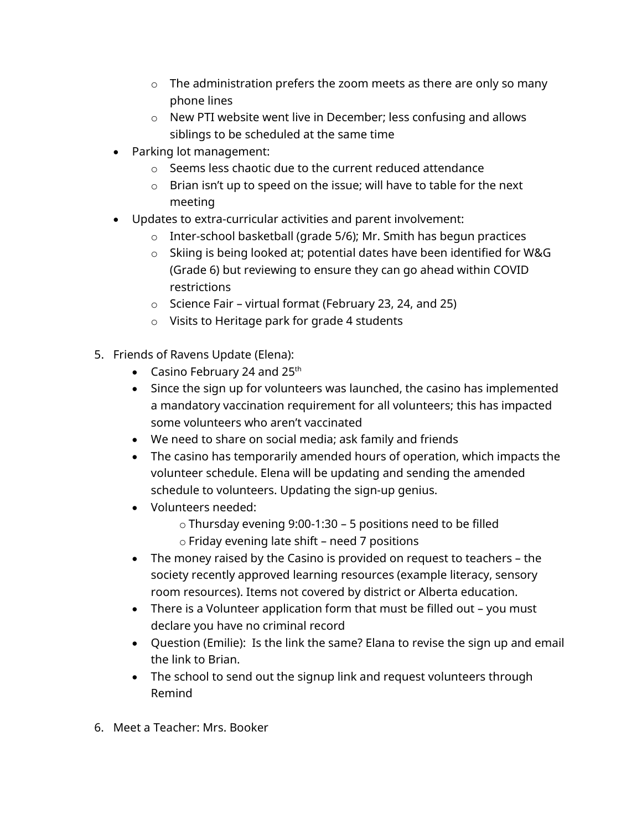- $\circ$  The administration prefers the zoom meets as there are only so many phone lines
- o New PTI website went live in December; less confusing and allows siblings to be scheduled at the same time
- Parking lot management:
	- o Seems less chaotic due to the current reduced attendance
	- o Brian isn't up to speed on the issue; will have to table for the next meeting
- Updates to extra-curricular activities and parent involvement:
	- o Inter-school basketball (grade 5/6); Mr. Smith has begun practices
	- o Skiing is being looked at; potential dates have been identified for W&G (Grade 6) but reviewing to ensure they can go ahead within COVID restrictions
	- $\circ$  Science Fair virtual format (February 23, 24, and 25)
	- o Visits to Heritage park for grade 4 students
- 5. Friends of Ravens Update (Elena):
	- Casino February 24 and  $25<sup>th</sup>$
	- Since the sign up for volunteers was launched, the casino has implemented a mandatory vaccination requirement for all volunteers; this has impacted some volunteers who aren't vaccinated
	- We need to share on social media; ask family and friends
	- The casino has temporarily amended hours of operation, which impacts the volunteer schedule. Elena will be updating and sending the amended schedule to volunteers. Updating the sign-up genius.
	- Volunteers needed:
		- o Thursday evening 9:00-1:30 5 positions need to be filled
		- o Friday evening late shift need 7 positions
	- The money raised by the Casino is provided on request to teachers the society recently approved learning resources (example literacy, sensory room resources). Items not covered by district or Alberta education.
	- There is a Volunteer application form that must be filled out you must declare you have no criminal record
	- Question (Emilie): Is the link the same? Elana to revise the sign up and email the link to Brian.
	- The school to send out the signup link and request volunteers through Remind
- 6. Meet a Teacher: Mrs. Booker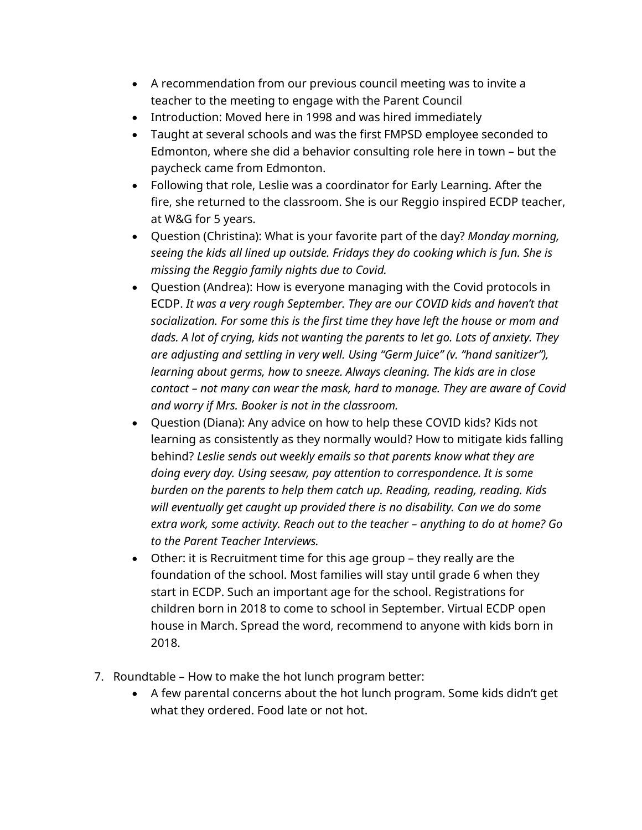- A recommendation from our previous council meeting was to invite a teacher to the meeting to engage with the Parent Council
- Introduction: Moved here in 1998 and was hired immediately
- Taught at several schools and was the first FMPSD employee seconded to Edmonton, where she did a behavior consulting role here in town – but the paycheck came from Edmonton.
- Following that role, Leslie was a coordinator for Early Learning. After the fire, she returned to the classroom. She is our Reggio inspired ECDP teacher, at W&G for 5 years.
- Question (Christina): What is your favorite part of the day? *Monday morning, seeing the kids all lined up outside. Fridays they do cooking which is fun. She is missing the Reggio family nights due to Covid.*
- Question (Andrea): How is everyone managing with the Covid protocols in ECDP. *It was a very rough September. They are our COVID kids and haven't that socialization. For some this is the first time they have left the house or mom and dads. A lot of crying, kids not wanting the parents to let go. Lots of anxiety. They are adjusting and settling in very well. Using "Germ Juice" (v. "hand sanitizer"), learning about germs, how to sneeze. Always cleaning. The kids are in close contact – not many can wear the mask, hard to manage. They are aware of Covid and worry if Mrs. Booker is not in the classroom.*
- Question (Diana): Any advice on how to help these COVID kids? Kids not learning as consistently as they normally would? How to mitigate kids falling behind? *Leslie sends out* w*eekly emails so that parents know what they are doing every day. Using seesaw, pay attention to correspondence. It is some burden on the parents to help them catch up. Reading, reading, reading. Kids will eventually get caught up provided there is no disability. Can we do some extra work, some activity. Reach out to the teacher – anything to do at home? Go to the Parent Teacher Interviews.*
- Other: it is Recruitment time for this age group they really are the foundation of the school. Most families will stay until grade 6 when they start in ECDP. Such an important age for the school. Registrations for children born in 2018 to come to school in September. Virtual ECDP open house in March. Spread the word, recommend to anyone with kids born in 2018.
- 7. Roundtable How to make the hot lunch program better:
	- A few parental concerns about the hot lunch program. Some kids didn't get what they ordered. Food late or not hot.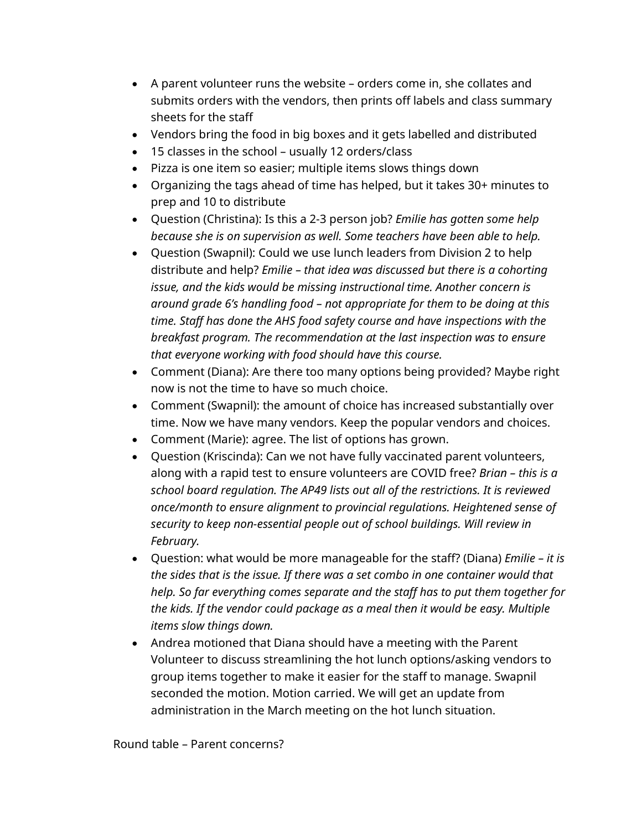- A parent volunteer runs the website orders come in, she collates and submits orders with the vendors, then prints off labels and class summary sheets for the staff
- Vendors bring the food in big boxes and it gets labelled and distributed
- 15 classes in the school usually 12 orders/class
- Pizza is one item so easier; multiple items slows things down
- Organizing the tags ahead of time has helped, but it takes 30+ minutes to prep and 10 to distribute
- Question (Christina): Is this a 2-3 person job? *Emilie has gotten some help because she is on supervision as well. Some teachers have been able to help.*
- Question (Swapnil): Could we use lunch leaders from Division 2 to help distribute and help? *Emilie – that idea was discussed but there is a cohorting issue, and the kids would be missing instructional time. Another concern is around grade 6's handling food – not appropriate for them to be doing at this time. Staff has done the AHS food safety course and have inspections with the breakfast program. The recommendation at the last inspection was to ensure that everyone working with food should have this course.*
- Comment (Diana): Are there too many options being provided? Maybe right now is not the time to have so much choice.
- Comment (Swapnil): the amount of choice has increased substantially over time. Now we have many vendors. Keep the popular vendors and choices.
- Comment (Marie): agree. The list of options has grown.
- Question (Kriscinda): Can we not have fully vaccinated parent volunteers, along with a rapid test to ensure volunteers are COVID free? *Brian – this is a school board regulation. The AP49 lists out all of the restrictions. It is reviewed once/month to ensure alignment to provincial regulations. Heightened sense of security to keep non-essential people out of school buildings. Will review in February.*
- Question: what would be more manageable for the staff? (Diana) *Emilie it is the sides that is the issue. If there was a set combo in one container would that help. So far everything comes separate and the staff has to put them together for the kids. If the vendor could package as a meal then it would be easy. Multiple items slow things down.*
- Andrea motioned that Diana should have a meeting with the Parent Volunteer to discuss streamlining the hot lunch options/asking vendors to group items together to make it easier for the staff to manage. Swapnil seconded the motion. Motion carried. We will get an update from administration in the March meeting on the hot lunch situation.

Round table – Parent concerns?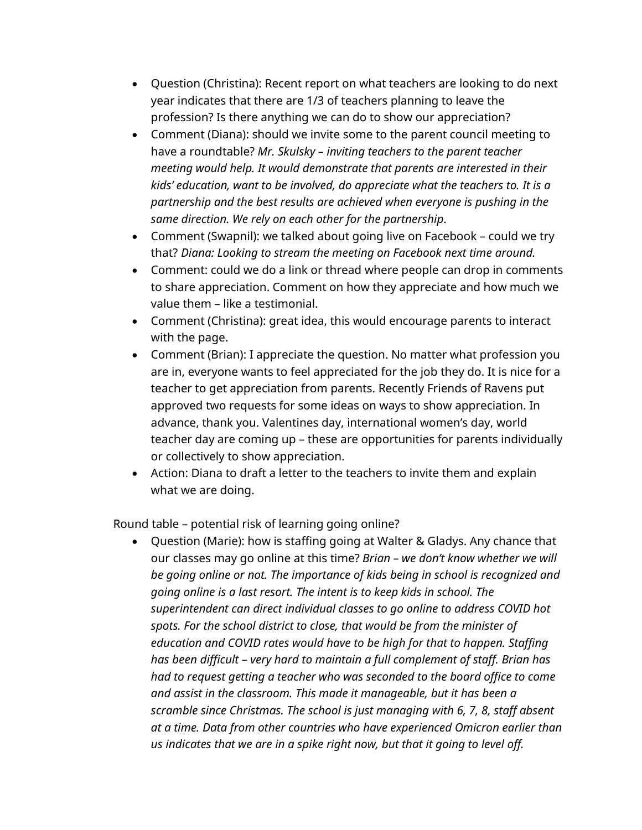- Question (Christina): Recent report on what teachers are looking to do next year indicates that there are 1/3 of teachers planning to leave the profession? Is there anything we can do to show our appreciation?
- Comment (Diana): should we invite some to the parent council meeting to have a roundtable? *Mr. Skulsky – inviting teachers to the parent teacher meeting would help. It would demonstrate that parents are interested in their kids' education, want to be involved, do appreciate what the teachers to. It is a partnership and the best results are achieved when everyone is pushing in the same direction. We rely on each other for the partnership*.
- Comment (Swapnil): we talked about going live on Facebook could we try that? *Diana: Looking to stream the meeting on Facebook next time around.*
- Comment: could we do a link or thread where people can drop in comments to share appreciation. Comment on how they appreciate and how much we value them – like a testimonial.
- Comment (Christina): great idea, this would encourage parents to interact with the page.
- Comment (Brian): I appreciate the question. No matter what profession you are in, everyone wants to feel appreciated for the job they do. It is nice for a teacher to get appreciation from parents. Recently Friends of Ravens put approved two requests for some ideas on ways to show appreciation. In advance, thank you. Valentines day, international women's day, world teacher day are coming up – these are opportunities for parents individually or collectively to show appreciation.
- Action: Diana to draft a letter to the teachers to invite them and explain what we are doing.

Round table – potential risk of learning going online?

 Question (Marie): how is staffing going at Walter & Gladys. Any chance that our classes may go online at this time? *Brian – we don't know whether we will be going online or not. The importance of kids being in school is recognized and going online is a last resort. The intent is to keep kids in school. The superintendent can direct individual classes to go online to address COVID hot spots. For the school district to close, that would be from the minister of education and COVID rates would have to be high for that to happen. Staffing has been difficult – very hard to maintain a full complement of staff. Brian has had to request getting a teacher who was seconded to the board office to come and assist in the classroom. This made it manageable, but it has been a scramble since Christmas. The school is just managing with 6, 7, 8, staff absent at a time. Data from other countries who have experienced Omicron earlier than us indicates that we are in a spike right now, but that it going to level off.*